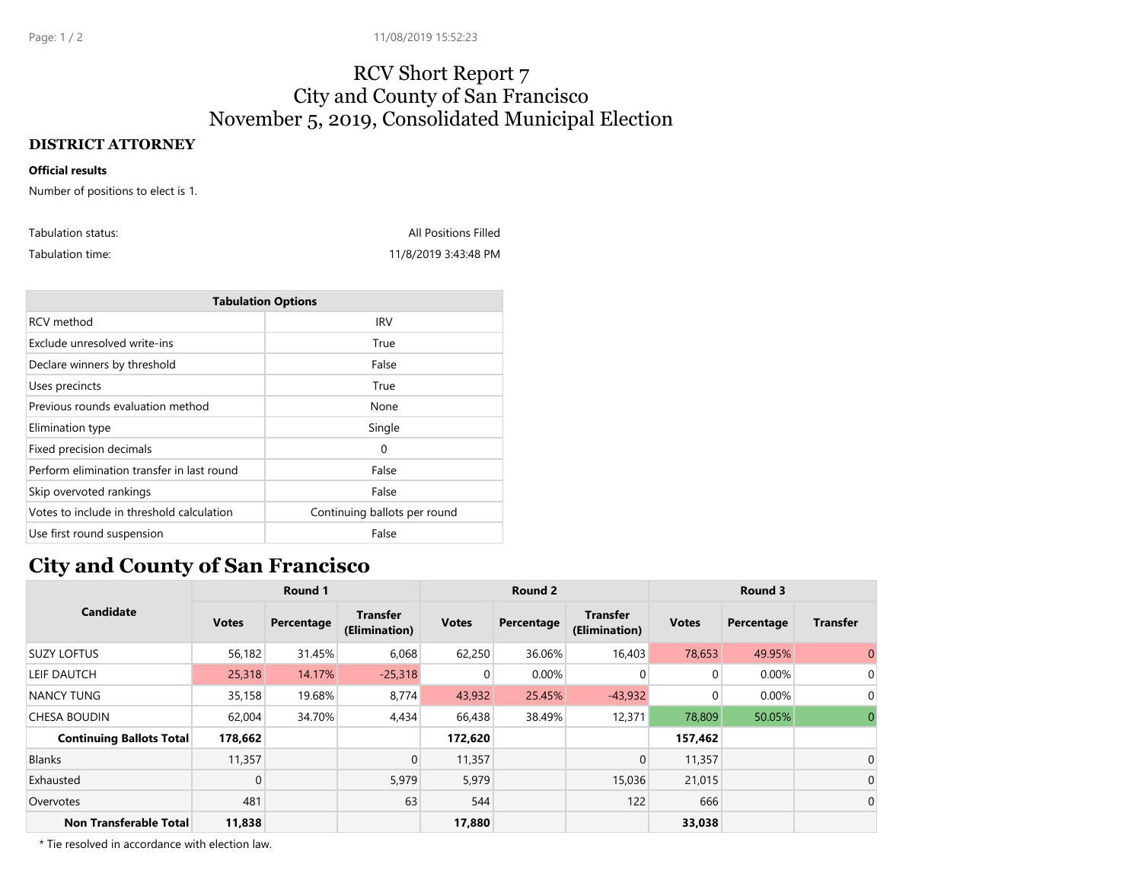## RCV Short Report 7 City and County of San Francisco November 5, 2019, Consolidated Municipal Election

## **DISTRICT ATTORNEY**

## **Official results**

Number of positions to elect is 1.

| Tabulation status: | <b>All Positions Filled</b> |
|--------------------|-----------------------------|
| Tabulation time:   | 11/8/2019 3:43:48 PM        |

| <b>Tabulation Options</b>                  |                              |  |  |  |  |  |  |
|--------------------------------------------|------------------------------|--|--|--|--|--|--|
| RCV method                                 | <b>IRV</b>                   |  |  |  |  |  |  |
| Exclude unresolved write-ins               | True                         |  |  |  |  |  |  |
| Declare winners by threshold               | False                        |  |  |  |  |  |  |
| Uses precincts                             | True                         |  |  |  |  |  |  |
| Previous rounds evaluation method          | None                         |  |  |  |  |  |  |
| Elimination type                           | Single                       |  |  |  |  |  |  |
| Fixed precision decimals                   | 0                            |  |  |  |  |  |  |
| Perform elimination transfer in last round | False                        |  |  |  |  |  |  |
| Skip overvoted rankings                    | False                        |  |  |  |  |  |  |
| Votes to include in threshold calculation  | Continuing ballots per round |  |  |  |  |  |  |
| Use first round suspension                 | False                        |  |  |  |  |  |  |

## **City and County of San Francisco**

| <b>Candidate</b>                | Round 1      |            | Round 2                          |                |            | Round 3                          |              |            |                 |
|---------------------------------|--------------|------------|----------------------------------|----------------|------------|----------------------------------|--------------|------------|-----------------|
|                                 | <b>Votes</b> | Percentage | <b>Transfer</b><br>(Elimination) | <b>Votes</b>   | Percentage | <b>Transfer</b><br>(Elimination) | <b>Votes</b> | Percentage | <b>Transfer</b> |
| <b>SUZY LOFTUS</b>              | 56,182       | 31.45%     | 6,068                            | 62,250         | 36.06%     | 16,403                           | 78,653       | 49.95%     | $\overline{0}$  |
| LEIF DAUTCH                     | 25,318       | 14.17%     | $-25,318$                        | $\overline{0}$ | 0.00%      | $\overline{0}$                   | $\mathbf 0$  | 0.00%      | 0               |
| <b>NANCY TUNG</b>               | 35,158       | 19.68%     | 8,774                            | 43,932         | 25.45%     | $-43,932$                        | $\Omega$     | 0.00%      | 0               |
| <b>CHESA BOUDIN</b>             | 62,004       | 34.70%     | 4,434                            | 66,438         | 38.49%     | 12,371                           | 78,809       | 50.05%     | 0               |
| <b>Continuing Ballots Total</b> | 178,662      |            |                                  | 172,620        |            |                                  | 157,462      |            |                 |
| <b>Blanks</b>                   | 11,357       |            | $\mathbf 0$                      | 11,357         |            | $\overline{0}$                   | 11,357       |            | $\mathbf 0$     |
| Exhausted                       | $\mathbf 0$  |            | 5,979                            | 5,979          |            | 15,036                           | 21,015       |            | $\mathbf 0$     |
| Overvotes                       | 481          |            | 63                               | 544            |            | 122                              | 666          |            | $\mathbf 0$     |
| Non Transferable Total          | 11,838       |            |                                  | 17,880         |            |                                  | 33,038       |            |                 |

\* Tie resolved in accordance with election law.